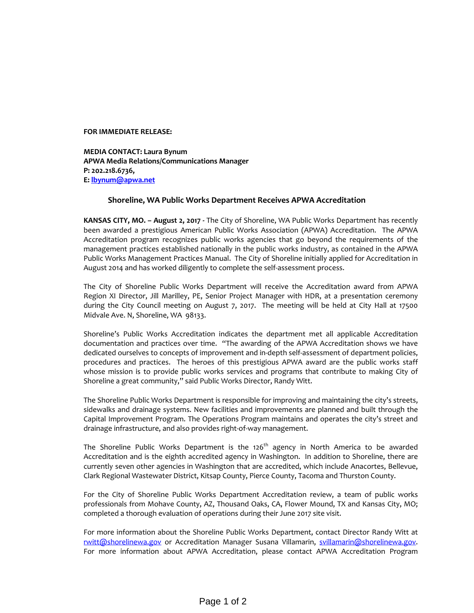## **FOR IMMEDIATE RELEASE:**

**MEDIA CONTACT: Laura Bynum APWA Media Relations/Communications Manager P: 202.218.6736, E: lbynum@apwa.net**

## **Shoreline, WA Public Works Department Receives APWA Accreditation**

**KANSAS CITY, MO. – August 2, 2017 ‐** The City of Shoreline, WA Public Works Department has recently been awarded a prestigious American Public Works Association (APWA) Accreditation. The APWA Accreditation program recognizes public works agencies that go beyond the requirements of the management practices established nationally in the public works industry, as contained in the APWA Public Works Management Practices Manual. The City of Shoreline initially applied for Accreditation in August 2014 and has worked diligently to complete the self‐assessment process.

The City of Shoreline Public Works Department will receive the Accreditation award from APWA Region XI Director, Jill Marilley, PE, Senior Project Manager with HDR, at a presentation ceremony during the City Council meeting on August 7, 2017. The meeting will be held at City Hall at 17500 Midvale Ave. N, Shoreline, WA 98133.

Shoreline's Public Works Accreditation indicates the department met all applicable Accreditation documentation and practices over time. "The awarding of the APWA Accreditation shows we have dedicated ourselves to concepts of improvement and in‐depth self‐assessment of department policies, procedures and practices. The heroes of this prestigious APWA award are the public works staff whose mission is to provide public works services and programs that contribute to making City of Shoreline a great community," said Public Works Director, Randy Witt.

The Shoreline Public Works Department is responsible for improving and maintaining the city's streets, sidewalks and drainage systems. New facilities and improvements are planned and built through the Capital Improvement Program. The Operations Program maintains and operates the city's street and drainage infrastructure, and also provides right‐of‐way management.

The Shoreline Public Works Department is the 126<sup>th</sup> agency in North America to be awarded Accreditation and is the eighth accredited agency in Washington. In addition to Shoreline, there are currently seven other agencies in Washington that are accredited, which include Anacortes, Bellevue, Clark Regional Wastewater District, Kitsap County, Pierce County, Tacoma and Thurston County.

For the City of Shoreline Public Works Department Accreditation review, a team of public works professionals from Mohave County, AZ, Thousand Oaks, CA, Flower Mound, TX and Kansas City, MO; completed a thorough evaluation of operations during their June 2017 site visit.

For more information about the Shoreline Public Works Department, contact Director Randy Witt at rwitt@shorelinewa.gov or Accreditation Manager Susana Villamarin, svillamarin@shorelinewa.gov. For more information about APWA Accreditation, please contact APWA Accreditation Program